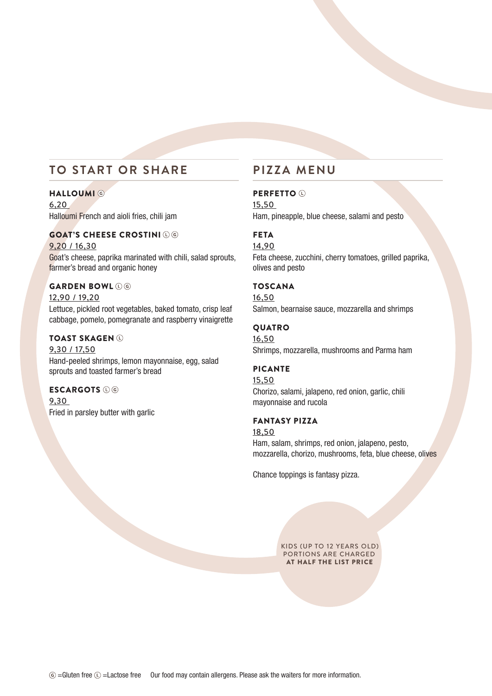# **TO START OR SHARE**

## **HALLOUMI** ©

6,20 Halloumi French and aioli fries, chili jam

## GOAT'S CHEESE CROSTINI

9,20 / 16,30 Goat's cheese, paprika marinated with chili, salad sprouts, farmer's bread and organic honey

## GARDEN BOWL DO

12,90 / 19,20 Lettuce, pickled root vegetables, baked tomato, crisp leaf cabbage, pomelo, pomegranate and raspberry vinaigrette

### TOAST SKAGEN

9,30 / 17,50 Hand-peeled shrimps, lemon mayonnaise, egg, salad sprouts and toasted farmer's bread

## ESCARGOTS  $\odot$  ©

9,30 Fried in parsley butter with garlic

# **PIZZA MENU**

### PERFETTO <sup>(1)</sup>

15,50 Ham, pineapple, blue cheese, salami and pesto

## FETA

14,90 Feta cheese, zucchini, cherry tomatoes, grilled paprika, olives and pesto

## **TOSCANA**

16,50 Salmon, bearnaise sauce, mozzarella and shrimps

### QUATRO

16,50 Shrimps, mozzarella, mushrooms and Parma ham

#### PICANTE

15,50 Chorizo, salami, jalapeno, red onion, garlic, chili mayonnaise and rucola

### FANTASY PIZZA

18,50 Ham, salam, shrimps, red onion, jalapeno, pesto, mozzarella, chorizo, mushrooms, feta, blue cheese, olives

Chance toppings is fantasy pizza.

KIDS (UP TO 12 YEARS OLD) PORTIONS ARE CHARGED AT HALF THE LIST PRICE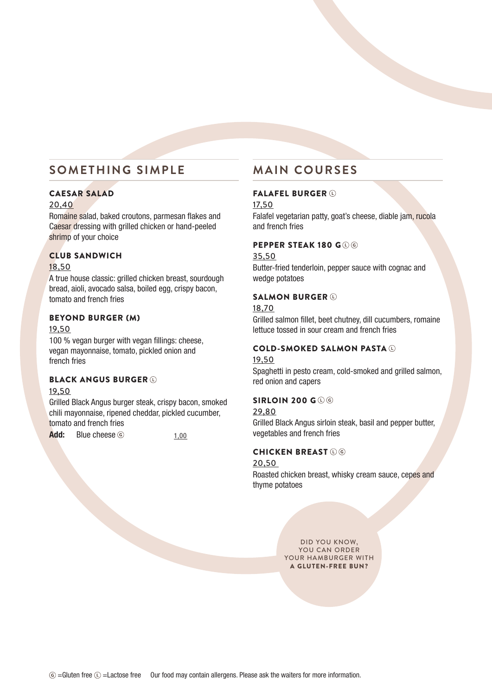# **SOMETHING SIMPLE**

## CAESAR SALAD

## 20,40

Romaine salad, baked croutons, parmesan flakes and Caesar dressing with grilled chicken or hand-peeled shrimp of your choice

## CLUB SANDWICH

### 18,50

A true house classic: grilled chicken breast, sourdough bread, aioli, avocado salsa, boiled egg, crispy bacon, tomato and french fries

## BEYOND BURGER (M)

#### 19,50

100 % vegan burger with vegan fillings: cheese, vegan mayonnaise, tomato, pickled onion and french fries

## BLACK ANGUS BURGER

#### 19,50

Grilled Black Angus burger steak, crispy bacon, smoked chili mayonnaise, ripened cheddar, pickled cucumber, tomato and french fries

 $Add:$  Blue cheese  $\circledcirc$   $1,00$ 

# **MAIN COURSES**

## FALAFEL BURGER

17,50

Falafel vegetarian patty, goat's cheese, diable jam, rucola and french fries

## PEPPER STEAK 180 G (L) G

#### 35,50

Butter-fried tenderloin, pepper sauce with cognac and wedge potatoes

## SALMON BURGER  $\odot$

#### 18,70

Grilled salmon fillet, beet chutney, dill cucumbers, romaine lettuce tossed in sour cream and french fries

## COLD-SMOKED SALMON PASTA

## 19,50

Spaghetti in pesto cream, cold-smoked and grilled salmon, red onion and capers

### SIRLOIN 200 GOO

#### 29,80

Grilled Black Angus sirloin steak, basil and pepper butter, vegetables and french fries

## **CHICKEN BREAST OG**

#### 20,50

Roasted chicken breast, whisky cream sauce, cepes and thyme potatoes

> DID YOU KNOW, YOU CAN ORDER YOUR HAMBURGER WITH A GLUTEN-FREE BUN?

 $\circledcirc$  =Gluten free  $\circledcirc$  =Lactose free Our food may contain allergens. Please ask the waiters for more information.